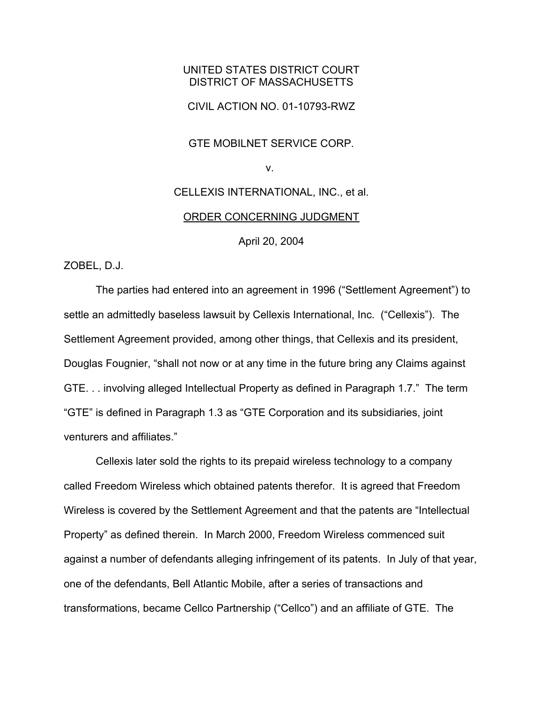## UNITED STATES DISTRICT COURT DISTRICT OF MASSACHUSETTS

CIVIL ACTION NO. 01-10793-RWZ

GTE MOBILNET SERVICE CORP.

v.

## CELLEXIS INTERNATIONAL, INC., et al.

## ORDER CONCERNING JUDGMENT

April 20, 2004

ZOBEL, D.J.

The parties had entered into an agreement in 1996 ("Settlement Agreement") to settle an admittedly baseless lawsuit by Cellexis International, Inc. ("Cellexis"). The Settlement Agreement provided, among other things, that Cellexis and its president, Douglas Fougnier, "shall not now or at any time in the future bring any Claims against GTE. . . involving alleged Intellectual Property as defined in Paragraph 1.7." The term "GTE" is defined in Paragraph 1.3 as "GTE Corporation and its subsidiaries, joint venturers and affiliates."

Cellexis later sold the rights to its prepaid wireless technology to a company called Freedom Wireless which obtained patents therefor. It is agreed that Freedom Wireless is covered by the Settlement Agreement and that the patents are "Intellectual Property" as defined therein. In March 2000, Freedom Wireless commenced suit against a number of defendants alleging infringement of its patents. In July of that year, one of the defendants, Bell Atlantic Mobile, after a series of transactions and transformations, became Cellco Partnership ("Cellco") and an affiliate of GTE. The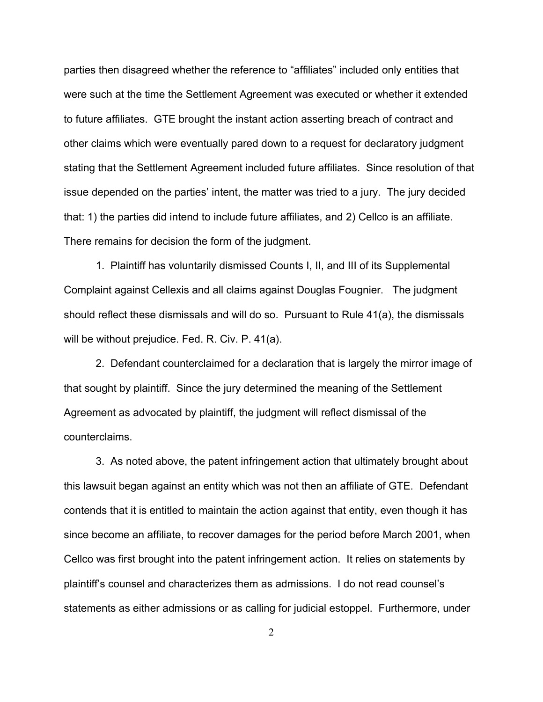parties then disagreed whether the reference to "affiliates" included only entities that were such at the time the Settlement Agreement was executed or whether it extended to future affiliates. GTE brought the instant action asserting breach of contract and other claims which were eventually pared down to a request for declaratory judgment stating that the Settlement Agreement included future affiliates. Since resolution of that issue depended on the parties' intent, the matter was tried to a jury. The jury decided that: 1) the parties did intend to include future affiliates, and 2) Cellco is an affiliate. There remains for decision the form of the judgment.

1. Plaintiff has voluntarily dismissed Counts I, II, and III of its Supplemental Complaint against Cellexis and all claims against Douglas Fougnier. The judgment should reflect these dismissals and will do so. Pursuant to Rule 41(a), the dismissals will be without prejudice. Fed. R. Civ. P. 41(a).

2. Defendant counterclaimed for a declaration that is largely the mirror image of that sought by plaintiff. Since the jury determined the meaning of the Settlement Agreement as advocated by plaintiff, the judgment will reflect dismissal of the counterclaims.

3. As noted above, the patent infringement action that ultimately brought about this lawsuit began against an entity which was not then an affiliate of GTE. Defendant contends that it is entitled to maintain the action against that entity, even though it has since become an affiliate, to recover damages for the period before March 2001, when Cellco was first brought into the patent infringement action. It relies on statements by plaintiff's counsel and characterizes them as admissions. I do not read counsel's statements as either admissions or as calling for judicial estoppel. Furthermore, under

2